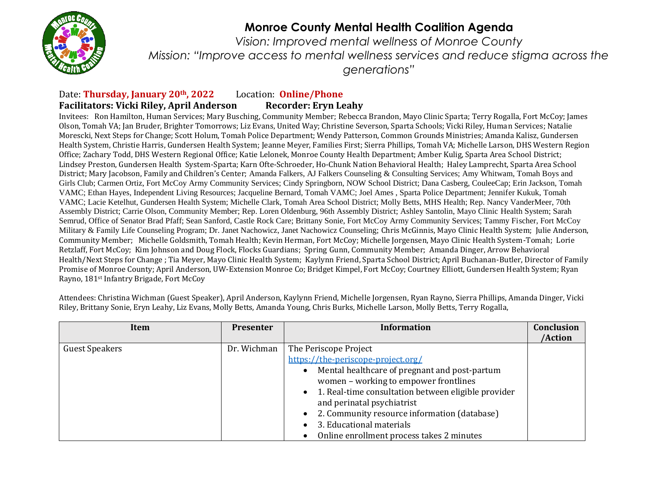

*Vision: Improved mental wellness of Monroe County Mission: "Improve access to mental wellness services and reduce stigma across the generations"*

#### Date: **Thursday, January 20th, 2022** Location: **Online/Phone Facilitators: Vicki Riley, April Anderson Recorder: Eryn Leahy**

Invitees: Ron Hamilton, Human Services; Mary Busching, Community Member; Rebecca Brandon, Mayo Clinic Sparta; Terry Rogalla, Fort McCoy; James Olson, Tomah VA; Jan Bruder, Brighter Tomorrows; Liz Evans, United Way; Christine Severson, Sparta Schools; Vicki Riley, Human Services; Natalie Morescki, Next Steps for Change; Scott Holum, Tomah Police Department; Wendy Patterson, Common Grounds Ministries; Amanda Kalisz, Gundersen Health System, Christie Harris, Gundersen Health System; Jeanne Meyer, Families First; Sierra Phillips, Tomah VA; Michelle Larson, DHS Western Region Office; Zachary Todd, DHS Western Regional Office; Katie Lelonek, Monroe County Health Department; Amber Kulig, Sparta Area School District; Lindsey Preston, Gundersen Health System-Sparta; Karn Ofte-Schroeder, Ho-Chunk Nation Behavioral Health; Haley Lamprecht, Sparta Area School District; Mary Jacobson, Family and Children's Center; Amanda Falkers, AJ Falkers Counseling & Consulting Services; Amy Whitwam, Tomah Boys and Girls Club; Carmen Ortiz, Fort McCoy Army Community Services; Cindy Springborn, NOW School District; Dana Casberg, CouleeCap; Erin Jackson, Tomah VAMC; Ethan Hayes, Independent Living Resources; Jacqueline Bernard, Tomah VAMC; Joel Ames , Sparta Police Department; Jennifer Kukuk, Tomah VAMC; Lacie Ketelhut, Gundersen Health System; Michelle Clark, Tomah Area School District; Molly Betts, MHS Health; Rep. Nancy VanderMeer, 70th Assembly District; Carrie Olson, Community Member; Rep. Loren Oldenburg, 96th Assembly District; Ashley Santolin, Mayo Clinic Health System; Sarah Semrud, Office of Senator Brad Pfaff; Sean Sanford, Castle Rock Care; Brittany Sonie, Fort McCoy Army Community Services; Tammy Fischer, Fort McCoy Military & Family Life Counseling Program; Dr. Janet Nachowicz, Janet Nachowicz Counseling; Chris McGinnis, Mayo Clinic Health System; Julie Anderson, Community Member; Michelle Goldsmith, Tomah Health; Kevin Herman, Fort McCoy; Michelle Jorgensen, Mayo Clinic Health System-Tomah; Lorie Retzlaff, Fort McCoy; Kim Johnson and Doug Flock, Flocks Guardians; Spring Gunn, Community Member; Amanda Dinger, Arrow Behavioral Health/Next Steps for Change ; Tia Meyer, Mayo Clinic Health System; Kaylynn Friend, Sparta School District; April Buchanan-Butler, Director of Family Promise of Monroe County; April Anderson, UW-Extension Monroe Co; Bridget Kimpel, Fort McCoy; Courtney Elliott, Gundersen Health System; Ryan Rayno, 181st Infantry Brigade, Fort McCoy

Attendees: Christina Wichman (Guest Speaker), April Anderson, Kaylynn Friend, Michelle Jorgensen, Ryan Rayno, Sierra Phillips, Amanda Dinger, Vicki Riley, Brittany Sonie, Eryn Leahy, Liz Evans, Molly Betts, Amanda Young, Chris Burks, Michelle Larson, Molly Betts, Terry Rogalla,

| Item                  | <b>Presenter</b> | <b>Information</b>                                                                                                                                                                                                                                                                                                                                                  | Conclusion<br>/Action |
|-----------------------|------------------|---------------------------------------------------------------------------------------------------------------------------------------------------------------------------------------------------------------------------------------------------------------------------------------------------------------------------------------------------------------------|-----------------------|
| <b>Guest Speakers</b> | Dr. Wichman      | The Periscope Project<br>https://the-periscope-project.org/<br>Mental healthcare of pregnant and post-partum<br>women - working to empower frontlines<br>1. Real-time consultation between eligible provider<br>and perinatal psychiatrist<br>2. Community resource information (database)<br>3. Educational materials<br>Online enrollment process takes 2 minutes |                       |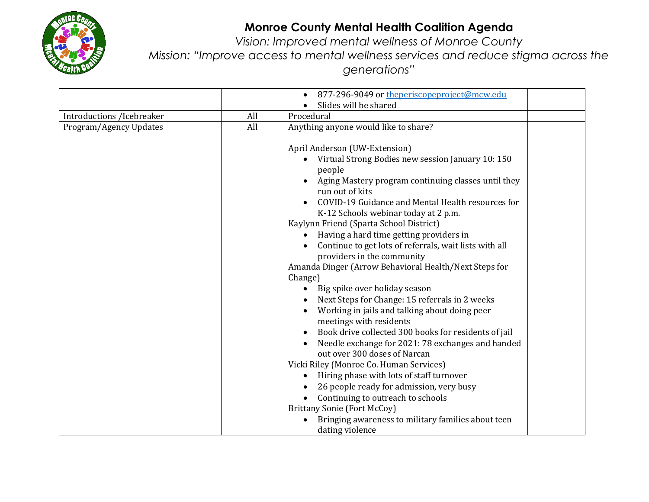

*Vision: Improved mental wellness of Monroe County Mission: "Improve access to mental wellness services and reduce stigma across the generations"*

|                           |     | 877-296-9049 or theperiscopeproject@mcw.edu                                       |  |
|---------------------------|-----|-----------------------------------------------------------------------------------|--|
|                           |     | Slides will be shared                                                             |  |
| Introductions /Icebreaker | All | Procedural                                                                        |  |
| Program/Agency Updates    | All | Anything anyone would like to share?                                              |  |
|                           |     |                                                                                   |  |
|                           |     | April Anderson (UW-Extension)                                                     |  |
|                           |     | Virtual Strong Bodies new session January 10: 150<br>people                       |  |
|                           |     | Aging Mastery program continuing classes until they                               |  |
|                           |     | run out of kits                                                                   |  |
|                           |     | COVID-19 Guidance and Mental Health resources for                                 |  |
|                           |     | K-12 Schools webinar today at 2 p.m.                                              |  |
|                           |     | Kaylynn Friend (Sparta School District)                                           |  |
|                           |     | Having a hard time getting providers in                                           |  |
|                           |     | Continue to get lots of referrals, wait lists with all                            |  |
|                           |     | providers in the community                                                        |  |
|                           |     | Amanda Dinger (Arrow Behavioral Health/Next Steps for                             |  |
|                           |     | Change)                                                                           |  |
|                           |     | Big spike over holiday season<br>$\bullet$                                        |  |
|                           |     | Next Steps for Change: 15 referrals in 2 weeks                                    |  |
|                           |     | Working in jails and talking about doing peer                                     |  |
|                           |     | meetings with residents                                                           |  |
|                           |     | Book drive collected 300 books for residents of jail                              |  |
|                           |     | Needle exchange for 2021: 78 exchanges and handed<br>out over 300 doses of Narcan |  |
|                           |     | Vicki Riley (Monroe Co. Human Services)                                           |  |
|                           |     | Hiring phase with lots of staff turnover                                          |  |
|                           |     | 26 people ready for admission, very busy                                          |  |
|                           |     | Continuing to outreach to schools                                                 |  |
|                           |     | <b>Brittany Sonie (Fort McCoy)</b>                                                |  |
|                           |     | Bringing awareness to military families about teen                                |  |
|                           |     | dating violence                                                                   |  |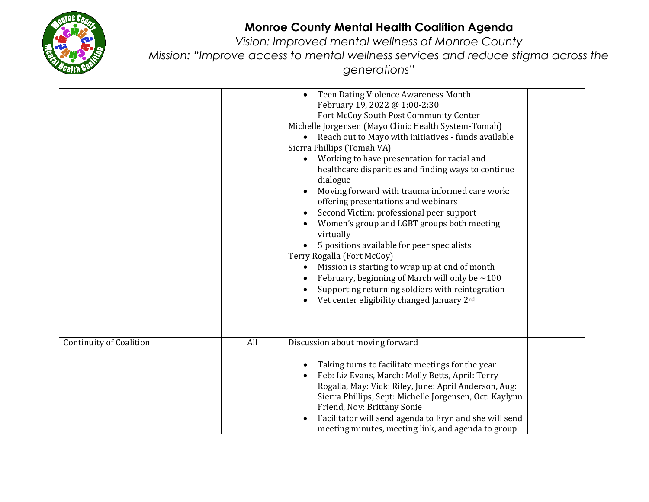

*Vision: Improved mental wellness of Monroe County Mission: "Improve access to mental wellness services and reduce stigma across the generations"*

|                                       | Teen Dating Violence Awareness Month<br>February 19, 2022 @ 1:00-2:30<br>Fort McCoy South Post Community Center<br>Michelle Jorgensen (Mayo Clinic Health System-Tomah)<br>• Reach out to Mayo with initiatives - funds available<br>Sierra Phillips (Tomah VA)<br>Working to have presentation for racial and<br>$\bullet$<br>healthcare disparities and finding ways to continue<br>dialogue<br>Moving forward with trauma informed care work:<br>offering presentations and webinars<br>Second Victim: professional peer support<br>Women's group and LGBT groups both meeting<br>virtually<br>5 positions available for peer specialists<br>Terry Rogalla (Fort McCoy)<br>Mission is starting to wrap up at end of month<br>$\bullet$<br>February, beginning of March will only be $\sim$ 100<br>Supporting returning soldiers with reintegration<br>Vet center eligibility changed January 2 <sup>nd</sup> |
|---------------------------------------|-----------------------------------------------------------------------------------------------------------------------------------------------------------------------------------------------------------------------------------------------------------------------------------------------------------------------------------------------------------------------------------------------------------------------------------------------------------------------------------------------------------------------------------------------------------------------------------------------------------------------------------------------------------------------------------------------------------------------------------------------------------------------------------------------------------------------------------------------------------------------------------------------------------------|
| All<br><b>Continuity of Coalition</b> | Discussion about moving forward<br>Taking turns to facilitate meetings for the year<br>$\bullet$<br>Feb: Liz Evans, March: Molly Betts, April: Terry<br>$\bullet$<br>Rogalla, May: Vicki Riley, June: April Anderson, Aug:<br>Sierra Phillips, Sept: Michelle Jorgensen, Oct: Kaylynn<br>Friend, Nov: Brittany Sonie<br>Facilitator will send agenda to Eryn and she will send<br>$\bullet$<br>meeting minutes, meeting link, and agenda to group                                                                                                                                                                                                                                                                                                                                                                                                                                                               |